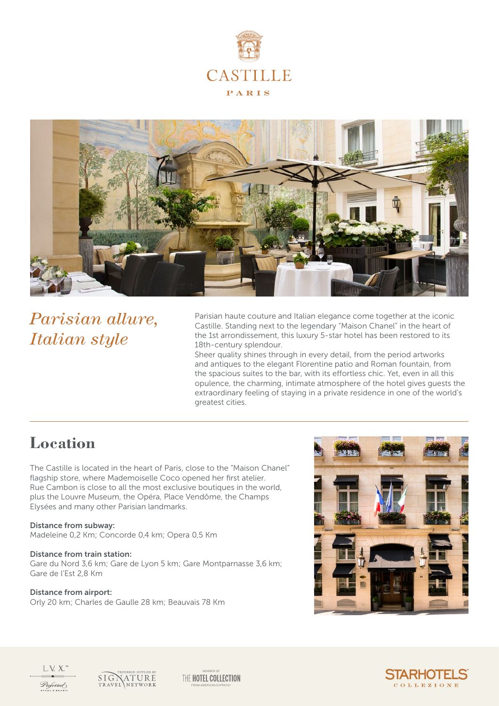



*Parisian allure, Italian style*

Parisian haute couture and Italian elegance come together at the iconic Castille. Standing next to the legendary "Maison Chanel" in the heart of the 1st arrondissement, this luxury 5-star hotel has been restored to its 18th-century splendour.

Sheer quality shines through in every detail, from the period artworks and antiques to the elegant Florentine patio and Roman fountain, from the spacious suites to the bar, with its effortless chic. Yet, even in all this opulence, the charming, intimate atmosphere of the hotel gives guests the extraordinary feeling of staying in a private residence in one of the world's greatest cities.

### **Location**

The Castille is located in the heart of Paris, close to the "Maison Chanel" flagship store, where Mademoiselle Coco opened her first atelier. Rue Cambon is close to all the most exclusive boutiques in the world, plus the Louvre Museum, the Opéra, Place Vendôme, the Champs Elysées and many other Parisian landmarks.

#### Distance from subway:

Madeleine 0,2 Km; Concorde 0,4 km; Opera 0,5 Km

#### Distance from train station:

Gare du Nord 3,6 km; Gare de Lyon 5 km; Gare Montparnasse 3,6 km; Gare de l'Est 2,8 Km

#### Distance from airport:

Orly 20 km; Charles de Gaulle 28 km; Beauvais 78 Km





 $L.V. X.$ Preferred



MEMBER OF THE HOTEL COLLECTION FROM AMERICAN EXPRESS®